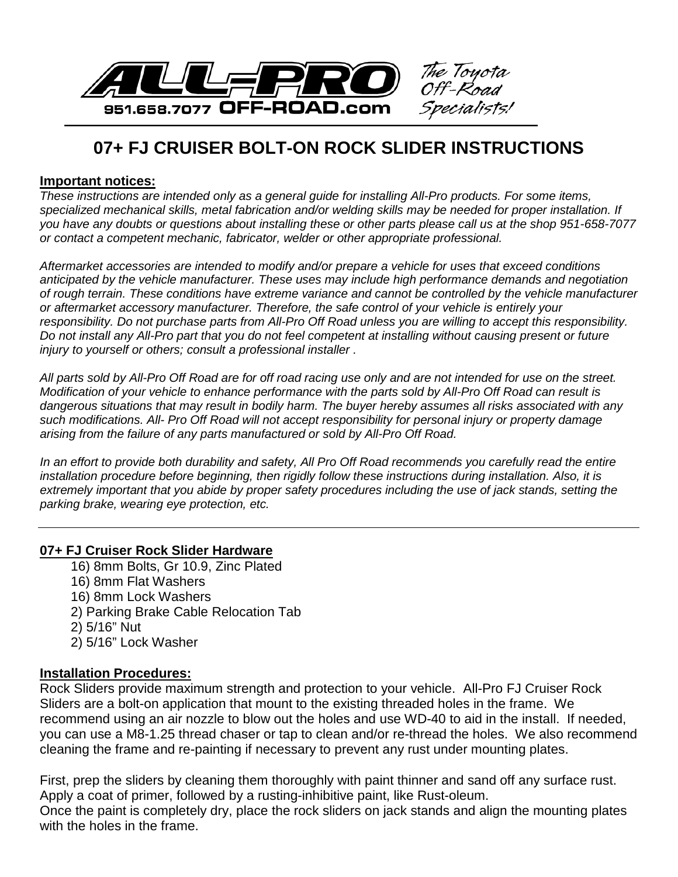

## **07+ FJ CRUISER BOLT-ON ROCK SLIDER INSTRUCTIONS**

## **Important notices:**

*These instructions are intended only as a general guide for installing All-Pro products. For some items,*  specialized mechanical skills, metal fabrication and/or welding skills may be needed for proper installation. If *you have any doubts or questions about installing these or other parts please call us at the shop 951-658-7077 or contact a competent mechanic, fabricator, welder or other appropriate professional.*

*Aftermarket accessories are intended to modify and/or prepare a vehicle for uses that exceed conditions anticipated by the vehicle manufacturer. These uses may include high performance demands and negotiation of rough terrain. These conditions have extreme variance and cannot be controlled by the vehicle manufacturer or aftermarket accessory manufacturer. Therefore, the safe control of your vehicle is entirely your*  responsibility. Do not purchase parts from All-Pro Off Road unless you are willing to accept this responsibility. *Do not install any All-Pro part that you do not feel competent at installing without causing present or future injury to yourself or others; consult a professional installer .*

*All parts sold by All-Pro Off Road are for off road racing use only and are not intended for use on the street. Modification of your vehicle to enhance performance with the parts sold by All-Pro Off Road can result is dangerous situations that may result in bodily harm. The buyer hereby assumes all risks associated with any such modifications. All- Pro Off Road will not accept responsibility for personal injury or property damage arising from the failure of any parts manufactured or sold by All-Pro Off Road.*

In an effort to provide both durability and safety, All Pro Off Road recommends you carefully read the entire *installation procedure before beginning, then rigidly follow these instructions during installation. Also, it is extremely important that you abide by proper safety procedures including the use of jack stands, setting the parking brake, wearing eye protection, etc.*

## **07+ FJ Cruiser Rock Slider Hardware**

16) 8mm Bolts, Gr 10.9, Zinc Plated 16) 8mm Flat Washers 16) 8mm Lock Washers 2) Parking Brake Cable Relocation Tab 2) 5/16" Nut 2) 5/16" Lock Washer

## **Installation Procedures:**

Rock Sliders provide maximum strength and protection to your vehicle. All-Pro FJ Cruiser Rock Sliders are a bolt-on application that mount to the existing threaded holes in the frame. We recommend using an air nozzle to blow out the holes and use WD-40 to aid in the install. If needed, you can use a M8-1.25 thread chaser or tap to clean and/or re-thread the holes. We also recommend cleaning the frame and re-painting if necessary to prevent any rust under mounting plates.

First, prep the sliders by cleaning them thoroughly with paint thinner and sand off any surface rust. Apply a coat of primer, followed by a rusting-inhibitive paint, like Rust-oleum. Once the paint is completely dry, place the rock sliders on jack stands and align the mounting plates with the holes in the frame.